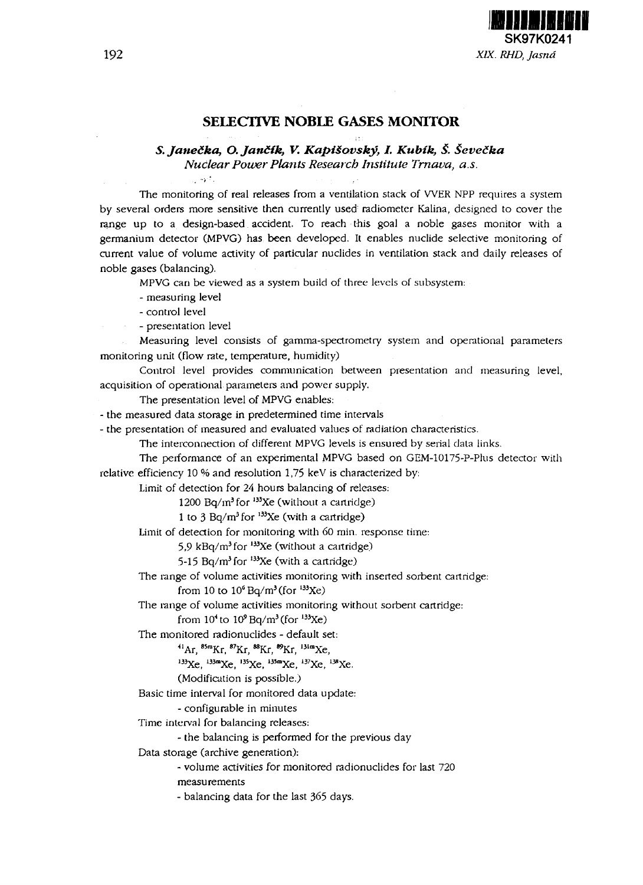

## SELECTIVE NOBLE GASES MONITOR

*S.Janedka, O.Jandik, V. KapUovsky, I. Kubik, \$. Sevedka Nuclear Power Plants Research Institute Trnava, a.s.*

The monitoring of real releases from a ventilation stack of WER NPP requires a system by several orders more sensitive then currently used radiometer Kalina, designed to cover the range up to a design-based accident. To reach this goal a noble gases monitor with a germanium detector (MPVG) has been developed. It enables nuclide selective monitoring of current value of volume activity of particular nuclides in ventilation stack and daily releases of noble gases (balancing).

MPVG can be viewed as a system build of three levels of subsystem:

- measuring level

- control level

- presentation level

Measuring level consists of gamma-spectrometry system and operational parameters monitoring unit (flow rate, temperature, humidity)

Control level provides communication between presentation and measuring level, acquisition of operational parameters and power supply.

The presentation level of MPVG enables:

- the measured data storage in predetermined time intervals

- the presentation of measured and evaluated values of radiation characteristics.

The interconnection of different MPVG levels is ensured by serial data links.

The performance of an experimental MPVG based on GEM-10175-P-Plus detector with relative efficiency 10 % and resolution 1,75 keV is characterized by:

Limit of detection for 24 hours balancing of releases:

1200 Bq/m<sup>3</sup> for <sup>133</sup>Xe (without a cartridge)

1 to 3 Bq/m $3$  for  $^{133}$ Xe (with a cartridge)

Limit of detection for monitoring with 60 min. response time:

5,9 kBq/m<sup>3</sup> for <sup>133</sup>Xe (without a cartridge)

5-15 Bq/m<sup>3</sup> for <sup>133</sup>Xe (with a cartridge)

The range of volume activities monitoring with inserted sorbent cartridge:

from 10 to  $10^6\,\mathrm{Bq/m^3}$  (for  $^{133}\mathrm{Xe}$ )

The range of volume activities monitoring without sorbent cartridge:

from 10<sup>4</sup> to 10<sup>9</sup> Bq/m<sup>3</sup> (for <sup>133</sup>Xe)

The monitored radionuclides - default set:

 ${}^{41}$ Ar,  ${}^{85m}$ Kr,  ${}^{87}$ Kr,  ${}^{88}$ Kr,  ${}^{89}$ Kr,  ${}^{131m}$ Xe

<sup>133</sup>Xe, <sup>133m</sup>Xe, <sup>135</sup>Xe, <sup>135m</sup>Xe, <sup>137</sup>Xe, <sup>138</sup>Xe

(Modification is possible.)

Basic time interval for monitored data update:

- configurable in minutes

Time interval for balancing releases:

- the balancing is performed for the previous day

Data storage (archive generation):

- volume activities for monitored radionuclides for last 720 measurements

- balancing data for the last 365 days.